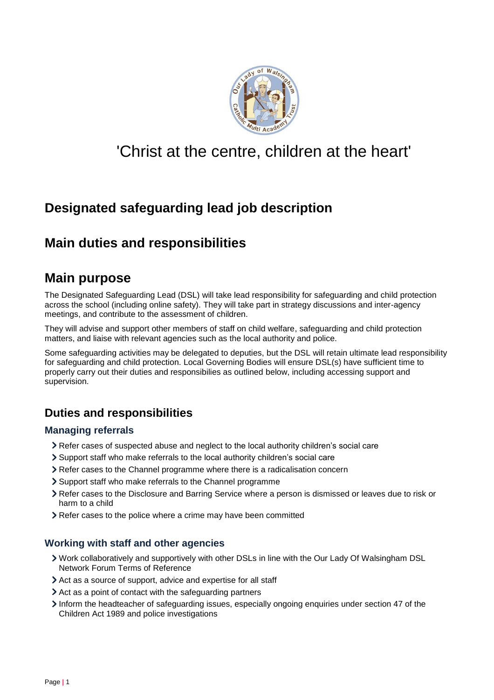

# 'Christ at the centre, children at the heart'

## **Designated safeguarding lead job description**

### **Main duties and responsibilities**

### **Main purpose**

The Designated Safeguarding Lead (DSL) will take lead responsibility for safeguarding and child protection across the school (including online safety). They will take part in strategy discussions and inter-agency meetings, and contribute to the assessment of children.

They will advise and support other members of staff on child welfare, safeguarding and child protection matters, and liaise with relevant agencies such as the local authority and police.

Some safeguarding activities may be delegated to deputies, but the DSL will retain ultimate lead responsibility for safeguarding and child protection. Local Governing Bodies will ensure DSL(s) have sufficient time to properly carry out their duties and responsibilies as outlined below, including accessing support and supervision.

### **Duties and responsibilities**

#### **Managing referrals**

- Refer cases of suspected abuse and neglect to the local authority children's social care
- Support staff who make referrals to the local authority children's social care
- Refer cases to the Channel programme where there is a radicalisation concern
- Support staff who make referrals to the Channel programme
- Refer cases to the Disclosure and Barring Service where a person is dismissed or leaves due to risk or harm to a child
- Refer cases to the police where a crime may have been committed

#### **Working with staff and other agencies**

- Work collaboratively and supportively with other DSLs in line with the Our Lady Of Walsingham DSL Network Forum Terms of Reference
- Act as a source of support, advice and expertise for all staff
- Act as a point of contact with the safeguarding partners
- Inform the headteacher of safeguarding issues, especially ongoing enquiries under section 47 of the Children Act 1989 and police investigations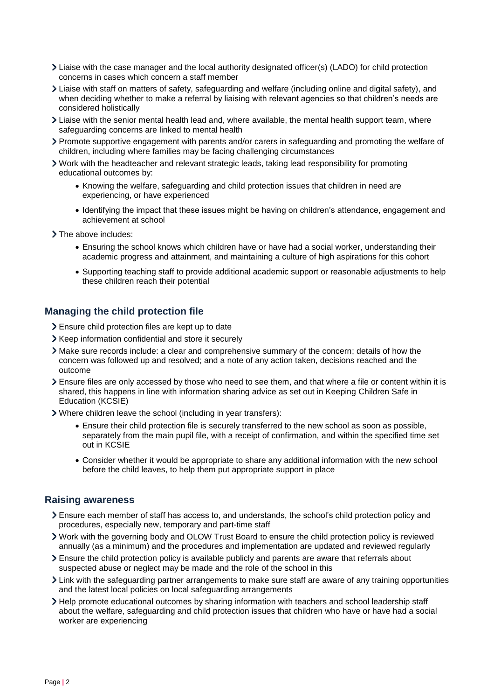- Liaise with the case manager and the local authority designated officer(s) (LADO) for child protection concerns in cases which concern a staff member
- Liaise with staff on matters of safety, safeguarding and welfare (including online and digital safety), and when deciding whether to make a referral by liaising with relevant agencies so that children's needs are considered holistically
- Liaise with the senior mental health lead and, where available, the mental health support team, where safeguarding concerns are linked to mental health
- Promote supportive engagement with parents and/or carers in safeguarding and promoting the welfare of children, including where families may be facing challenging circumstances
- Work with the headteacher and relevant strategic leads, taking lead responsibility for promoting educational outcomes by:
	- Knowing the welfare, safeguarding and child protection issues that children in need are experiencing, or have experienced
	- Identifying the impact that these issues might be having on children's attendance, engagement and achievement at school
- > The above includes:
	- Ensuring the school knows which children have or have had a social worker, understanding their academic progress and attainment, and maintaining a culture of high aspirations for this cohort
	- Supporting teaching staff to provide additional academic support or reasonable adjustments to help these children reach their potential

#### **Managing the child protection file**

- Ensure child protection files are kept up to date
- > Keep information confidential and store it securely
- Make sure records include: a clear and comprehensive summary of the concern; details of how the concern was followed up and resolved; and a note of any action taken, decisions reached and the outcome
- Ensure files are only accessed by those who need to see them, and that where a file or content within it is shared, this happens in line with information sharing advice as set out in Keeping Children Safe in Education (KCSIE)
- Where children leave the school (including in year transfers):
	- Ensure their child protection file is securely transferred to the new school as soon as possible, separately from the main pupil file, with a receipt of confirmation, and within the specified time set out in KCSIE
	- Consider whether it would be appropriate to share any additional information with the new school before the child leaves, to help them put appropriate support in place

#### **Raising awareness**

- Ensure each member of staff has access to, and understands, the school's child protection policy and procedures, especially new, temporary and part-time staff
- Work with the governing body and OLOW Trust Board to ensure the child protection policy is reviewed annually (as a minimum) and the procedures and implementation are updated and reviewed regularly
- Ensure the child protection policy is available publicly and parents are aware that referrals about suspected abuse or neglect may be made and the role of the school in this
- Link with the safeguarding partner arrangements to make sure staff are aware of any training opportunities and the latest local policies on local safeguarding arrangements
- Help promote educational outcomes by sharing information with teachers and school leadership staff about the welfare, safeguarding and child protection issues that children who have or have had a social worker are experiencing